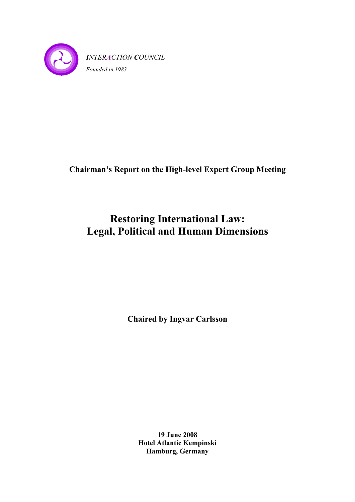

# **Chairman's Report on the High-level Expert Group Meeting**

# **Restoring International Law: Legal, Political and Human Dimensions**

**Chaired by Ingvar Carlsson** 

**19 June 2008 Hotel Atlantic Kempinski Hamburg, Germany**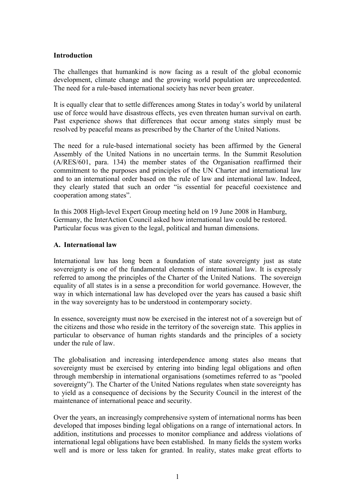#### **Introduction**

The challenges that humankind is now facing as a result of the global economic development, climate change and the growing world population are unprecedented. The need for a rule-based international society has never been greater.

It is equally clear that to settle differences among States in today's world by unilateral use of force would have disastrous effects, yes even threaten human survival on earth. Past experience shows that differences that occur among states simply must be resolved by peaceful means as prescribed by the Charter of the United Nations.

The need for a rule-based international society has been affirmed by the General Assembly of the United Nations in no uncertain terms. In the Summit Resolution (A/RES/601, para. 134) the member states of the Organisation reaffirmed their commitment to the purposes and principles of the UN Charter and international law and to an international order based on the rule of law and international law. Indeed, they clearly stated that such an order "is essential for peaceful coexistence and cooperation among states".

In this 2008 High-level Expert Group meeting held on 19 June 2008 in Hamburg, Germany, the InterAction Council asked how international law could be restored. Particular focus was given to the legal, political and human dimensions.

#### **A. International law**

International law has long been a foundation of state sovereignty just as state sovereignty is one of the fundamental elements of international law. It is expressly referred to among the principles of the Charter of the United Nations. The sovereign equality of all states is in a sense a precondition for world governance. However, the way in which international law has developed over the years has caused a basic shift in the way sovereignty has to be understood in contemporary society.

In essence, sovereignty must now be exercised in the interest not of a sovereign but of the citizens and those who reside in the territory of the sovereign state. This applies in particular to observance of human rights standards and the principles of a society under the rule of law.

The globalisation and increasing interdependence among states also means that sovereignty must be exercised by entering into binding legal obligations and often through membership in international organisations (sometimes referred to as "pooled sovereignty"). The Charter of the United Nations regulates when state sovereignty has to yield as a consequence of decisions by the Security Council in the interest of the maintenance of international peace and security.

Over the years, an increasingly comprehensive system of international norms has been developed that imposes binding legal obligations on a range of international actors. In addition, institutions and processes to monitor compliance and address violations of international legal obligations have been established. In many fields the system works well and is more or less taken for granted. In reality, states make great efforts to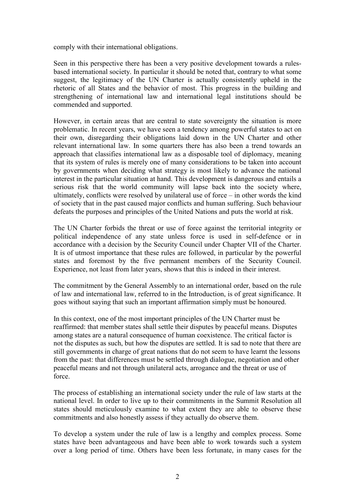comply with their international obligations.

Seen in this perspective there has been a very positive development towards a rulesbased international society. In particular it should be noted that, contrary to what some suggest, the legitimacy of the UN Charter is actually consistently upheld in the rhetoric of all States and the behavior of most. This progress in the building and strengthening of international law and international legal institutions should be commended and supported.

However, in certain areas that are central to state sovereignty the situation is more problematic. In recent years, we have seen a tendency among powerful states to act on their own, disregarding their obligations laid down in the UN Charter and other relevant international law. In some quarters there has also been a trend towards an approach that classifies international law as a disposable tool of diplomacy, meaning that its system of rules is merely one of many considerations to be taken into account by governments when deciding what strategy is most likely to advance the national interest in the particular situation at hand. This development is dangerous and entails a serious risk that the world community will lapse back into the society where, ultimately, conflicts were resolved by unilateral use of force – in other words the kind of society that in the past caused major conflicts and human suffering. Such behaviour defeats the purposes and principles of the United Nations and puts the world at risk.

The UN Charter forbids the threat or use of force against the territorial integrity or political independence of any state unless force is used in self-defence or in accordance with a decision by the Security Council under Chapter VII of the Charter. It is of utmost importance that these rules are followed, in particular by the powerful states and foremost by the five permanent members of the Security Council. Experience, not least from later years, shows that this is indeed in their interest.

The commitment by the General Assembly to an international order, based on the rule of law and international law, referred to in the Introduction, is of great significance. It goes without saying that such an important affirmation simply must be honoured.

In this context, one of the most important principles of the UN Charter must be reaffirmed: that member states shall settle their disputes by peaceful means. Disputes among states are a natural consequence of human coexistence. The critical factor is not the disputes as such, but how the disputes are settled. It is sad to note that there are still governments in charge of great nations that do not seem to have learnt the lessons from the past: that differences must be settled through dialogue, negotiation and other peaceful means and not through unilateral acts, arrogance and the threat or use of force.

The process of establishing an international society under the rule of law starts at the national level. In order to live up to their commitments in the Summit Resolution all states should meticulously examine to what extent they are able to observe these commitments and also honestly assess if they actually do observe them.

To develop a system under the rule of law is a lengthy and complex process. Some states have been advantageous and have been able to work towards such a system over a long period of time. Others have been less fortunate, in many cases for the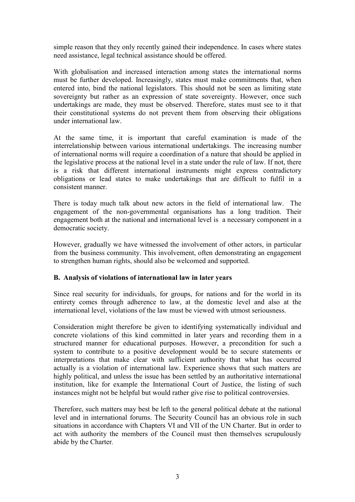simple reason that they only recently gained their independence. In cases where states need assistance, legal technical assistance should be offered.

With globalisation and increased interaction among states the international norms must be further developed. Increasingly, states must make commitments that, when entered into, bind the national legislators. This should not be seen as limiting state sovereignty but rather as an expression of state sovereignty. However, once such undertakings are made, they must be observed. Therefore, states must see to it that their constitutional systems do not prevent them from observing their obligations under international law.

At the same time, it is important that careful examination is made of the interrelationship between various international undertakings. The increasing number of international norms will require a coordination of a nature that should be applied in the legislative process at the national level in a state under the rule of law. If not, there is a risk that different international instruments might express contradictory obligations or lead states to make undertakings that are difficult to fulfil in a consistent manner.

There is today much talk about new actors in the field of international law. The engagement of the non-governmental organisations has a long tradition. Their engagement both at the national and international level is a necessary component in a democratic society.

However, gradually we have witnessed the involvement of other actors, in particular from the business community. This involvement, often demonstrating an engagement to strengthen human rights, should also be welcomed and supported.

# **B. Analysis of violations of international law in later years**

Since real security for individuals, for groups, for nations and for the world in its entirety comes through adherence to law, at the domestic level and also at the international level, violations of the law must be viewed with utmost seriousness.

Consideration might therefore be given to identifying systematically individual and concrete violations of this kind committed in later years and recording them in a structured manner for educational purposes. However, a precondition for such a system to contribute to a positive development would be to secure statements or interpretations that make clear with sufficient authority that what has occurred actually is a violation of international law. Experience shows that such matters are highly political, and unless the issue has been settled by an authoritative international institution, like for example the International Court of Justice, the listing of such instances might not be helpful but would rather give rise to political controversies.

Therefore, such matters may best be left to the general political debate at the national level and in international forums. The Security Council has an obvious role in such situations in accordance with Chapters VI and VII of the UN Charter. But in order to act with authority the members of the Council must then themselves scrupulously abide by the Charter*.*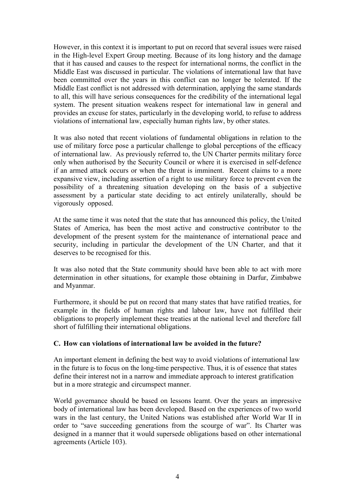However, in this context it is important to put on record that several issues were raised in the High-level Expert Group meeting. Because of its long history and the damage that it has caused and causes to the respect for international norms, the conflict in the Middle East was discussed in particular. The violations of international law that have been committed over the years in this conflict can no longer be tolerated. If the Middle East conflict is not addressed with determination, applying the same standards to all, this will have serious consequences for the credibility of the international legal system. The present situation weakens respect for international law in general and provides an excuse for states, particularly in the developing world, to refuse to address violations of international law, especially human rights law, by other states.

It was also noted that recent violations of fundamental obligations in relation to the use of military force pose a particular challenge to global perceptions of the efficacy of international law. As previously referred to, the UN Charter permits military force only when authorised by the Security Council or where it is exercised in self-defence if an armed attack occurs or when the threat is imminent. Recent claims to a more expansive view, including assertion of a right to use military force to prevent even the possibility of a threatening situation developing on the basis of a subjective assessment by a particular state deciding to act entirely unilaterally, should be vigorously opposed.

At the same time it was noted that the state that has announced this policy, the United States of America, has been the most active and constructive contributor to the development of the present system for the maintenance of international peace and security, including in particular the development of the UN Charter, and that it deserves to be recognised for this.

It was also noted that the State community should have been able to act with more determination in other situations, for example those obtaining in Darfur, Zimbabwe and Myanmar.

Furthermore, it should be put on record that many states that have ratified treaties, for example in the fields of human rights and labour law, have not fulfilled their obligations to properly implement these treaties at the national level and therefore fall short of fulfilling their international obligations.

#### **C. How can violations of international law be avoided in the future?**

An important element in defining the best way to avoid violations of international law in the future is to focus on the long-time perspective. Thus, it is of essence that states define their interest not in a narrow and immediate approach to interest gratification but in a more strategic and circumspect manner.

World governance should be based on lessons learnt. Over the years an impressive body of international law has been developed. Based on the experiences of two world wars in the last century, the United Nations was established after World War II in order to "save succeeding generations from the scourge of war". Its Charter was designed in a manner that it would supersede obligations based on other international agreements (Article 103).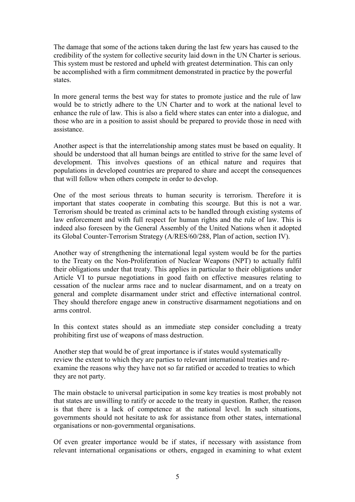The damage that some of the actions taken during the last few years has caused to the credibility of the system for collective security laid down in the UN Charter is serious. This system must be restored and upheld with greatest determination. This can only be accomplished with a firm commitment demonstrated in practice by the powerful states.

In more general terms the best way for states to promote justice and the rule of law would be to strictly adhere to the UN Charter and to work at the national level to enhance the rule of law. This is also a field where states can enter into a dialogue, and those who are in a position to assist should be prepared to provide those in need with assistance.

Another aspect is that the interrelationship among states must be based on equality. It should be understood that all human beings are entitled to strive for the same level of development. This involves questions of an ethical nature and requires that populations in developed countries are prepared to share and accept the consequences that will follow when others compete in order to develop.

One of the most serious threats to human security is terrorism. Therefore it is important that states cooperate in combating this scourge. But this is not a war. Terrorism should be treated as criminal acts to be handled through existing systems of law enforcement and with full respect for human rights and the rule of law. This is indeed also foreseen by the General Assembly of the United Nations when it adopted its Global Counter-Terrorism Strategy (A/RES/60/288, Plan of action, section IV).

Another way of strengthening the international legal system would be for the parties to the Treaty on the Non-Proliferation of Nuclear Weapons (NPT) to actually fulfil their obligations under that treaty. This applies in particular to their obligations under Article VI to pursue negotiations in good faith on effective measures relating to cessation of the nuclear arms race and to nuclear disarmament, and on a treaty on general and complete disarmament under strict and effective international control. They should therefore engage anew in constructive disarmament negotiations and on arms control.

In this context states should as an immediate step consider concluding a treaty prohibiting first use of weapons of mass destruction.

Another step that would be of great importance is if states would systematically review the extent to which they are parties to relevant international treaties and reexamine the reasons why they have not so far ratified or acceded to treaties to which they are not party.

The main obstacle to universal participation in some key treaties is most probably not that states are unwilling to ratify or accede to the treaty in question. Rather, the reason is that there is a lack of competence at the national level. In such situations, governments should not hesitate to ask for assistance from other states, international organisations or non-governmental organisations.

Of even greater importance would be if states, if necessary with assistance from relevant international organisations or others, engaged in examining to what extent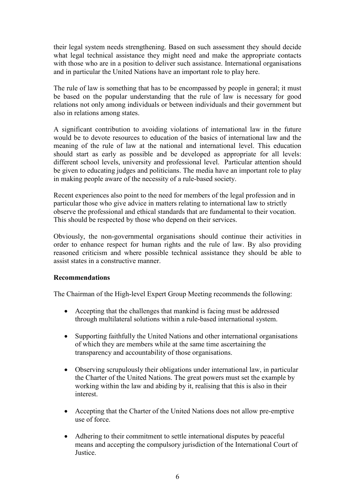their legal system needs strengthening. Based on such assessment they should decide what legal technical assistance they might need and make the appropriate contacts with those who are in a position to deliver such assistance. International organisations and in particular the United Nations have an important role to play here.

The rule of law is something that has to be encompassed by people in general; it must be based on the popular understanding that the rule of law is necessary for good relations not only among individuals or between individuals and their government but also in relations among states.

A significant contribution to avoiding violations of international law in the future would be to devote resources to education of the basics of international law and the meaning of the rule of law at the national and international level. This education should start as early as possible and be developed as appropriate for all levels: different school levels, university and professional level. Particular attention should be given to educating judges and politicians. The media have an important role to play in making people aware of the necessity of a rule-based society.

Recent experiences also point to the need for members of the legal profession and in particular those who give advice in matters relating to international law to strictly observe the professional and ethical standards that are fundamental to their vocation. This should be respected by those who depend on their services.

Obviously, the non-governmental organisations should continue their activities in order to enhance respect for human rights and the rule of law. By also providing reasoned criticism and where possible technical assistance they should be able to assist states in a constructive manner.

#### **Recommendations**

The Chairman of the High-level Expert Group Meeting recommends the following:

- Accepting that the challenges that mankind is facing must be addressed through multilateral solutions within a rule-based international system.
- Supporting faithfully the United Nations and other international organisations of which they are members while at the same time ascertaining the transparency and accountability of those organisations.
- Observing scrupulously their obligations under international law, in particular the Charter of the United Nations. The great powers must set the example by working within the law and abiding by it, realising that this is also in their interest.
- Accepting that the Charter of the United Nations does not allow pre-emptive use of force.
- Adhering to their commitment to settle international disputes by peaceful means and accepting the compulsory jurisdiction of the International Court of Justice.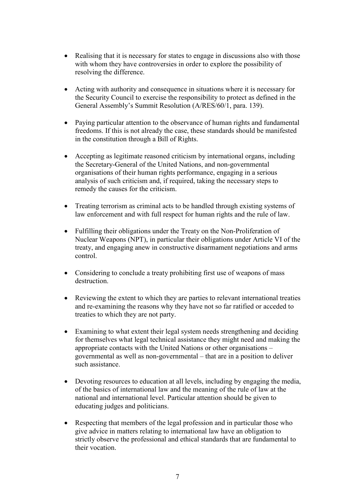- Realising that it is necessary for states to engage in discussions also with those with whom they have controversies in order to explore the possibility of resolving the difference.
- Acting with authority and consequence in situations where it is necessary for the Security Council to exercise the responsibility to protect as defined in the General Assembly's Summit Resolution (A/RES/60/1, para. 139).
- Paying particular attention to the observance of human rights and fundamental freedoms. If this is not already the case, these standards should be manifested in the constitution through a Bill of Rights.
- Accepting as legitimate reasoned criticism by international organs, including the Secretary-General of the United Nations, and non-governmental organisations of their human rights performance, engaging in a serious analysis of such criticism and, if required, taking the necessary steps to remedy the causes for the criticism.
- Treating terrorism as criminal acts to be handled through existing systems of law enforcement and with full respect for human rights and the rule of law.
- Fulfilling their obligations under the Treaty on the Non-Proliferation of Nuclear Weapons (NPT), in particular their obligations under Article VI of the treaty, and engaging anew in constructive disarmament negotiations and arms control.
- Considering to conclude a treaty prohibiting first use of weapons of mass destruction.
- Reviewing the extent to which they are parties to relevant international treaties and re-examining the reasons why they have not so far ratified or acceded to treaties to which they are not party.
- Examining to what extent their legal system needs strengthening and deciding for themselves what legal technical assistance they might need and making the appropriate contacts with the United Nations or other organisations – governmental as well as non-governmental – that are in a position to deliver such assistance.
- Devoting resources to education at all levels, including by engaging the media, of the basics of international law and the meaning of the rule of law at the national and international level. Particular attention should be given to educating judges and politicians.
- Respecting that members of the legal profession and in particular those who give advice in matters relating to international law have an obligation to strictly observe the professional and ethical standards that are fundamental to their vocation.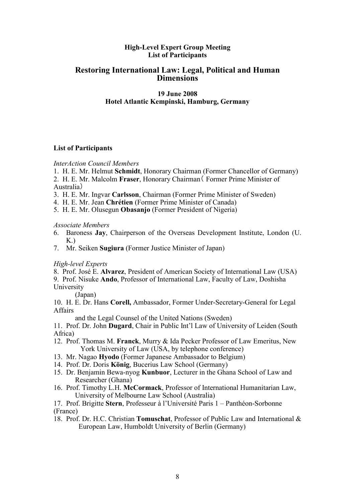#### **High-Level Expert Group Meeting List of Participants**

# **Restoring International Law: Legal, Political and Human Dimensions**

#### **19 June 2008 Hotel Atlantic Kempinski, Hamburg, Germany**

#### **List of Participants**

*InterAction Council Members* 

- 1. H. E. Mr. Helmut **Schmidt**, Honorary Chairman (Former Chancellor of Germany)
- 2. H. E. Mr. Malcolm **Fraser**, Honorary Chairman( Former Prime Minister of Australia)
- 3. H. E. Mr. Ingvar **Carlsson**, Chairman (Former Prime Minister of Sweden)
- 4. H. E. Mr. Jean **Chrétien** (Former Prime Minister of Canada)
- 5. H. E. Mr. Olusegun **Obasanjo** (Former President of Nigeria)

#### *Associate Members*

- 6. Baroness **Jay**, Chairperson of the Overseas Development Institute, London (U.  $K<sub>n</sub>$ )
- 7. Mr. Seiken **Sugiura** (Former Justice Minister of Japan)

*High-level Experts* 

8. Prof. José E. **Alvarez**, President of American Society of International Law (USA)

9. Prof. Nisuke **Ando**, Professor of International Law, Faculty of Law, Doshisha University

(Japan)

10. H. E. Dr. Hans **Corell,** Ambassador, Former Under-Secretary-General for Legal Affairs

and the Legal Counsel of the United Nations (Sweden)

11. Prof. Dr. John **Dugard**, Chair in Public Int'l Law of University of Leiden (South Africa)

- 12. Prof. Thomas M. **Franck**, Murry & Ida Pecker Professor of Law Emeritus, New York University of Law (USA, by telephone conference)
- 13. Mr. Nagao **Hyodo** (Former Japanese Ambassador to Belgium)
- 14. Prof. Dr. Doris **König**, Bucerius Law School (Germany)
- 15. Dr. Benjamin Bewa-nyog **Kunbuor**, Lecturer in the Ghana School of Law and Researcher (Ghana)
- 16. Prof. Timothy L.H. **McCormack**, Professor of International Humanitarian Law, University of Melbourne Law School (Australia)

17. Prof. Brigitte **Stern**, Professeur à l'Université Paris 1 – Panthéon-Sorbonne (France)

18. Prof. Dr. H.C. Christian **Tomuschat**, Professor of Public Law and International & European Law, Humboldt University of Berlin (Germany)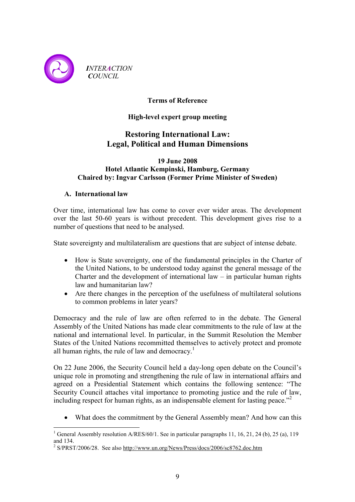

*INTERACTION COUNCIL* 

# **Terms of Reference**

# **High-level expert group meeting**

# **Restoring International Law: Legal, Political and Human Dimensions**

#### **19 June 2008 Hotel Atlantic Kempinski, Hamburg, Germany Chaired by: Ingvar Carlsson (Former Prime Minister of Sweden)**

# **A. International law**

Over time, international law has come to cover ever wider areas. The development over the last 50-60 years is without precedent. This development gives rise to a number of questions that need to be analysed.

State sovereignty and multilateralism are questions that are subject of intense debate.

- How is State sovereignty, one of the fundamental principles in the Charter of the United Nations, to be understood today against the general message of the Charter and the development of international law – in particular human rights law and humanitarian law?
- Are there changes in the perception of the usefulness of multilateral solutions to common problems in later years?

Democracy and the rule of law are often referred to in the debate. The General Assembly of the United Nations has made clear commitments to the rule of law at the national and international level. In particular, in the Summit Resolution the Member States of the United Nations recommitted themselves to actively protect and promote all human rights, the rule of law and democracy.<sup>1</sup>

On 22 June 2006, the Security Council held a day-long open debate on the Council's unique role in promoting and strengthening the rule of law in international affairs and agreed on a Presidential Statement which contains the following sentence: "The Security Council attaches vital importance to promoting justice and the rule of law, including respect for human rights, as an indispensable element for lasting peace. $^{2}$ 

• What does the commitment by the General Assembly mean? And how can this

 $\overline{a}$ <sup>1</sup> General Assembly resolution A/RES/60/1. See in particular paragraphs 11, 16, 21, 24 (b), 25 (a), 119 and 134.

<sup>&</sup>lt;sup>2</sup> S/PRST/2006/28. See also http://www.un.org/News/Press/docs/2006/sc8762.doc.htm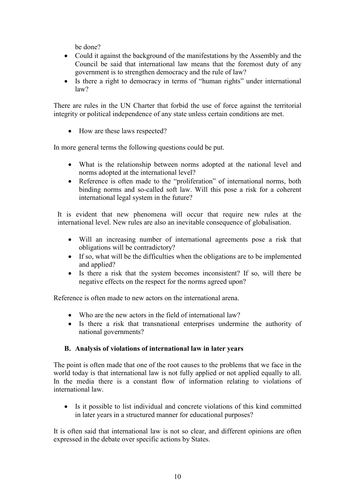be done?

- Could it against the background of the manifestations by the Assembly and the Council be said that international law means that the foremost duty of any government is to strengthen democracy and the rule of law?
- Is there a right to democracy in terms of "human rights" under international law?

There are rules in the UN Charter that forbid the use of force against the territorial integrity or political independence of any state unless certain conditions are met.

• How are these laws respected?

In more general terms the following questions could be put.

- What is the relationship between norms adopted at the national level and norms adopted at the international level?
- Reference is often made to the "proliferation" of international norms, both binding norms and so-called soft law. Will this pose a risk for a coherent international legal system in the future?

It is evident that new phenomena will occur that require new rules at the international level. New rules are also an inevitable consequence of globalisation.

- Will an increasing number of international agreements pose a risk that obligations will be contradictory?
- If so, what will be the difficulties when the obligations are to be implemented and applied?
- Is there a risk that the system becomes inconsistent? If so, will there be negative effects on the respect for the norms agreed upon?

Reference is often made to new actors on the international arena.

- Who are the new actors in the field of international law?
- Is there a risk that transnational enterprises undermine the authority of national governments?

# **B. Analysis of violations of international law in later years**

The point is often made that one of the root causes to the problems that we face in the world today is that international law is not fully applied or not applied equally to all. In the media there is a constant flow of information relating to violations of international law.

• Is it possible to list individual and concrete violations of this kind committed in later years in a structured manner for educational purposes?

It is often said that international law is not so clear, and different opinions are often expressed in the debate over specific actions by States.